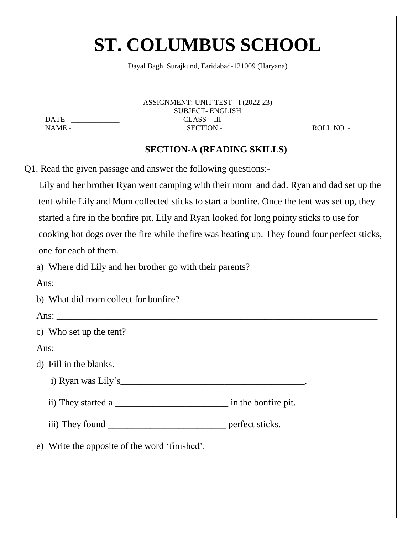|                                                                                           |               | ASSIGNMENT: UNIT TEST - I (2022-23)<br><b>SUBJECT-ENGLISH</b> |                                                                                               |
|-------------------------------------------------------------------------------------------|---------------|---------------------------------------------------------------|-----------------------------------------------------------------------------------------------|
|                                                                                           | $CLASS - III$ |                                                               |                                                                                               |
|                                                                                           |               | $SECTION -$                                                   | $ROLL NO. -$                                                                                  |
|                                                                                           |               | <b>SECTION-A (READING SKILLS)</b>                             |                                                                                               |
| Q1. Read the given passage and answer the following questions:-                           |               |                                                               |                                                                                               |
|                                                                                           |               |                                                               | Lily and her brother Ryan went camping with their mom and dad. Ryan and dad set up the        |
|                                                                                           |               |                                                               | tent while Lily and Mom collected sticks to start a bonfire. Once the tent was set up, they   |
| started a fire in the bonfire pit. Lily and Ryan looked for long pointy sticks to use for |               |                                                               |                                                                                               |
|                                                                                           |               |                                                               | cooking hot dogs over the fire while the fire was heating up. They found four perfect sticks, |
| one for each of them.                                                                     |               |                                                               |                                                                                               |
| a) Where did Lily and her brother go with their parents?                                  |               |                                                               |                                                                                               |
|                                                                                           |               |                                                               |                                                                                               |
| b) What did mom collect for bonfire?                                                      |               |                                                               |                                                                                               |
|                                                                                           |               |                                                               |                                                                                               |
| c) Who set up the tent?                                                                   |               |                                                               |                                                                                               |
|                                                                                           |               |                                                               |                                                                                               |
| d) Fill in the blanks.                                                                    |               |                                                               |                                                                                               |
|                                                                                           |               |                                                               |                                                                                               |
|                                                                                           |               |                                                               |                                                                                               |
|                                                                                           |               |                                                               |                                                                                               |
| e) Write the opposite of the word 'finished'.                                             |               |                                                               |                                                                                               |
|                                                                                           |               |                                                               |                                                                                               |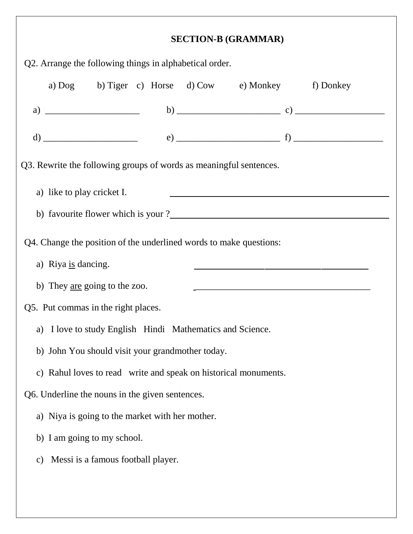|                            |                                                                    | <b>SECTION-B (GRAMMAR)</b> |                                                                                                                      |
|----------------------------|--------------------------------------------------------------------|----------------------------|----------------------------------------------------------------------------------------------------------------------|
|                            | Q2. Arrange the following things in alphabetical order.            |                            |                                                                                                                      |
|                            | a) Dog b) Tiger c) Horse d) Cow e) Monkey f) Donkey                |                            |                                                                                                                      |
|                            |                                                                    |                            |                                                                                                                      |
|                            |                                                                    |                            |                                                                                                                      |
|                            | Q3. Rewrite the following groups of words as meaningful sentences. |                            |                                                                                                                      |
|                            |                                                                    |                            |                                                                                                                      |
| a) like to play cricket I. |                                                                    |                            |                                                                                                                      |
|                            |                                                                    |                            |                                                                                                                      |
| a) Riya is dancing.        | Q4. Change the position of the underlined words to make questions: |                            | <u> 1989 - Jan James James, martin amerikan basar dan berasarkan perangan dan berasarkan perangan dan berasarkan</u> |
|                            | b) They <u>are</u> going to the zoo.                               |                            |                                                                                                                      |
|                            | Q5. Put commas in the right places.                                |                            |                                                                                                                      |
| a)                         | I love to study English Hindi Mathematics and Science.             |                            |                                                                                                                      |
|                            | b) John You should visit your grandmother today.                   |                            |                                                                                                                      |
|                            | c) Rahul loves to read write and speak on historical monuments.    |                            |                                                                                                                      |
|                            | Q6. Underline the nouns in the given sentences.                    |                            |                                                                                                                      |
|                            | a) Niya is going to the market with her mother.                    |                            |                                                                                                                      |
|                            | b) I am going to my school.                                        |                            |                                                                                                                      |
| $\mathcal{C}$ )            | Messi is a famous football player.                                 |                            |                                                                                                                      |
|                            |                                                                    |                            |                                                                                                                      |
|                            |                                                                    |                            |                                                                                                                      |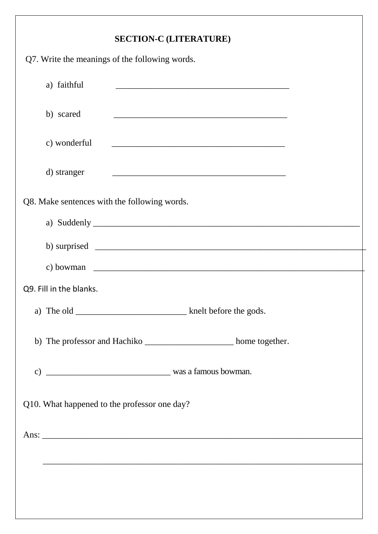#### **SECTION-C (LITERATURE)**

| $\mathcal{L}$ . $\mathcal{L}$ , and $\mathcal{L}$ and $\mathcal{L}$ |
|---------------------------------------------------------------------|
| Q7. Write the meanings of the following words.                      |
| a) faithful                                                         |
| b) scared                                                           |
| c) wonderful                                                        |
| d) stranger                                                         |
| Q8. Make sentences with the following words.                        |
|                                                                     |
| b) surprised $\qquad \qquad$                                        |
| c) bowman $\qquad \qquad$                                           |
| Q9. Fill in the blanks.                                             |
|                                                                     |
| b) The professor and Hachiko _______________________ home together. |
| was a famous bowman.<br>$\mathbf{c})$                               |
| Q10. What happened to the professor one day?                        |
|                                                                     |
|                                                                     |
|                                                                     |
|                                                                     |
|                                                                     |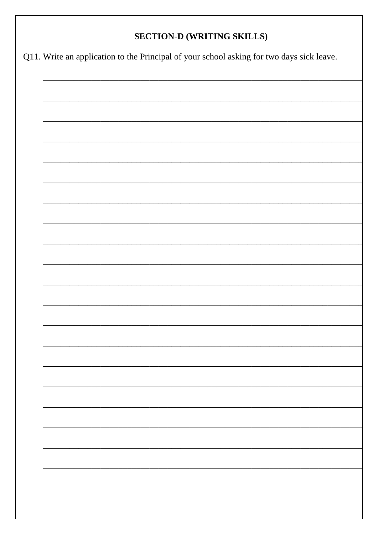#### **SECTION-D (WRITING SKILLS)**

Q11. Write an application to the Principal of your school asking for two days sick leave.

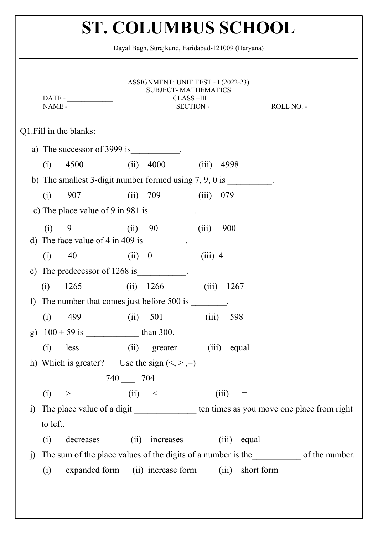|                         | $NAME -$                                                                                                                                                                                                                                                                                                                                                                                                         | ASSIGNMENT: UNIT TEST - I (2022-23)<br><b>SUBJECT-MATHEMATICS</b><br>CLASS-III | $SECTION -$   |                   | ROLL NO. -                                                                             |
|-------------------------|------------------------------------------------------------------------------------------------------------------------------------------------------------------------------------------------------------------------------------------------------------------------------------------------------------------------------------------------------------------------------------------------------------------|--------------------------------------------------------------------------------|---------------|-------------------|----------------------------------------------------------------------------------------|
| Q1. Fill in the blanks: |                                                                                                                                                                                                                                                                                                                                                                                                                  |                                                                                |               |                   |                                                                                        |
|                         | a) The successor of 3999 is $\frac{1}{2}$ .                                                                                                                                                                                                                                                                                                                                                                      |                                                                                |               |                   |                                                                                        |
| 4500<br>(i)             |                                                                                                                                                                                                                                                                                                                                                                                                                  | $(ii)$ 4000                                                                    | (iii)<br>4998 |                   |                                                                                        |
|                         | b) The smallest 3-digit number formed using $7, 9, 0$ is __________.                                                                                                                                                                                                                                                                                                                                             |                                                                                |               |                   |                                                                                        |
| (i)<br>907              |                                                                                                                                                                                                                                                                                                                                                                                                                  | (ii) 709                                                                       | 079<br>(iii)  |                   |                                                                                        |
|                         | c) The place value of $9 \text{ in } 981 \text{ is}$ .                                                                                                                                                                                                                                                                                                                                                           |                                                                                |               |                   |                                                                                        |
| (i)<br>9                | (ii) 90<br>d) The face value of 4 in 409 is $\frac{1}{\sqrt{1-\frac{1}{\sqrt{1-\frac{1}{\sqrt{1-\frac{1}{\sqrt{1-\frac{1}{\sqrt{1-\frac{1}{\sqrt{1-\frac{1}{\sqrt{1-\frac{1}{\sqrt{1-\frac{1}{\sqrt{1-\frac{1}{\sqrt{1-\frac{1}{\sqrt{1-\frac{1}{\sqrt{1-\frac{1}{\sqrt{1-\frac{1}{\sqrt{1-\frac{1}{\sqrt{1-\frac{1}{\sqrt{1-\frac{1}{\sqrt{1-\frac{1}{\sqrt{1-\frac{1}{\sqrt{1-\frac{1}{\sqrt{1-\frac{1}{\sqrt$ |                                                                                | (iii)<br>900  |                   |                                                                                        |
| 40<br>(i)               | (ii) 0                                                                                                                                                                                                                                                                                                                                                                                                           |                                                                                | $(iii)$ 4     |                   |                                                                                        |
| e)                      | The predecessor of 1268 is __________.                                                                                                                                                                                                                                                                                                                                                                           |                                                                                |               |                   |                                                                                        |
| 1265<br>(i)             |                                                                                                                                                                                                                                                                                                                                                                                                                  | $(ii)$ 1266                                                                    | (iii)         | 1267              |                                                                                        |
| f                       | The number that comes just before 500 is .                                                                                                                                                                                                                                                                                                                                                                       |                                                                                |               |                   |                                                                                        |
| (i)<br>499              |                                                                                                                                                                                                                                                                                                                                                                                                                  | (ii) 501                                                                       | (iii)         | 598               |                                                                                        |
| $\mathbf{g}$            |                                                                                                                                                                                                                                                                                                                                                                                                                  |                                                                                |               |                   |                                                                                        |
| (i)<br>less             | (ii)                                                                                                                                                                                                                                                                                                                                                                                                             | greater                                                                        | $(iii)$ equal |                   |                                                                                        |
|                         | h) Which is greater? Use the sign $(<, >, =)$                                                                                                                                                                                                                                                                                                                                                                    |                                                                                |               |                   |                                                                                        |
|                         | 740 704                                                                                                                                                                                                                                                                                                                                                                                                          |                                                                                |               |                   |                                                                                        |
| (i)<br>>                | (ii) <                                                                                                                                                                                                                                                                                                                                                                                                           |                                                                                | (iii)         | $\!\!\!=\!\!\!\!$ |                                                                                        |
| $\mathbf{i}$            |                                                                                                                                                                                                                                                                                                                                                                                                                  |                                                                                |               |                   | The place value of a digit ________________ ten times as you move one place from right |
| to left.                |                                                                                                                                                                                                                                                                                                                                                                                                                  |                                                                                |               |                   |                                                                                        |
| (i)                     | decreases<br>(ii)                                                                                                                                                                                                                                                                                                                                                                                                | increases                                                                      | (iii)         | equal             |                                                                                        |
| $\mathbf{j}$            |                                                                                                                                                                                                                                                                                                                                                                                                                  |                                                                                |               |                   | The sum of the place values of the digits of a number is the of the number.            |
| (i)                     | expanded form (ii) increase form                                                                                                                                                                                                                                                                                                                                                                                 |                                                                                | (iii)         | short form        |                                                                                        |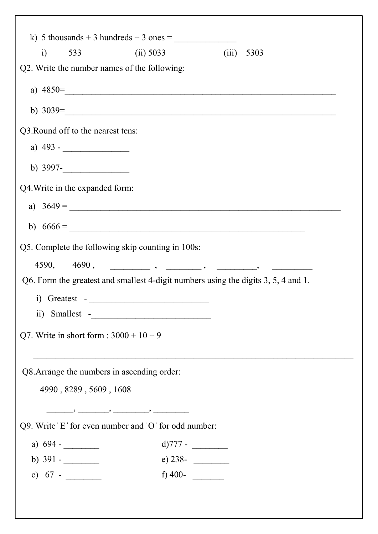|                                    | k) 5 thousands + 3 hundreds + 3 ones =                                                                                                                                                                                             |                                                                                                                                                                                                                                                                                                                                                                                                                                                                                                                                      |
|------------------------------------|------------------------------------------------------------------------------------------------------------------------------------------------------------------------------------------------------------------------------------|--------------------------------------------------------------------------------------------------------------------------------------------------------------------------------------------------------------------------------------------------------------------------------------------------------------------------------------------------------------------------------------------------------------------------------------------------------------------------------------------------------------------------------------|
| $\ddot{i}$<br>533                  | (ii) 5033                                                                                                                                                                                                                          | 5303<br>(iii)                                                                                                                                                                                                                                                                                                                                                                                                                                                                                                                        |
|                                    | Q2. Write the number names of the following:                                                                                                                                                                                       |                                                                                                                                                                                                                                                                                                                                                                                                                                                                                                                                      |
|                                    |                                                                                                                                                                                                                                    | a) $4850=$                                                                                                                                                                                                                                                                                                                                                                                                                                                                                                                           |
|                                    |                                                                                                                                                                                                                                    | b) $3039 =$                                                                                                                                                                                                                                                                                                                                                                                                                                                                                                                          |
| Q3. Round off to the nearest tens: |                                                                                                                                                                                                                                    |                                                                                                                                                                                                                                                                                                                                                                                                                                                                                                                                      |
| a) $493 -$                         |                                                                                                                                                                                                                                    |                                                                                                                                                                                                                                                                                                                                                                                                                                                                                                                                      |
| b) $3997$ -                        |                                                                                                                                                                                                                                    |                                                                                                                                                                                                                                                                                                                                                                                                                                                                                                                                      |
| Q4. Write in the expanded form:    |                                                                                                                                                                                                                                    |                                                                                                                                                                                                                                                                                                                                                                                                                                                                                                                                      |
|                                    |                                                                                                                                                                                                                                    | a) $3649 =$                                                                                                                                                                                                                                                                                                                                                                                                                                                                                                                          |
|                                    | b) $6666 =$                                                                                                                                                                                                                        |                                                                                                                                                                                                                                                                                                                                                                                                                                                                                                                                      |
|                                    | Q5. Complete the following skip counting in 100s:                                                                                                                                                                                  |                                                                                                                                                                                                                                                                                                                                                                                                                                                                                                                                      |
| 4590, 4690,                        |                                                                                                                                                                                                                                    | $\begin{array}{ccccccccccccc} \textcolor{red}{\textbf{1}} & \textcolor{red}{\textbf{1}} & \textcolor{red}{\textbf{1}} & \textcolor{red}{\textbf{1}} & \textcolor{red}{\textbf{1}} & \textcolor{red}{\textbf{1}} & \textcolor{red}{\textbf{1}} & \textcolor{red}{\textbf{1}} & \textcolor{red}{\textbf{1}} & \textcolor{red}{\textbf{1}} & \textcolor{red}{\textbf{1}} & \textcolor{red}{\textbf{1}} & \textcolor{red}{\textbf{1}} & \textcolor{red}{\textbf{1}} & \textcolor{red}{\textbf{1}} & \textcolor{red}{\textbf{1}} & \text$ |
|                                    |                                                                                                                                                                                                                                    | Q6. Form the greatest and smallest 4-digit numbers using the digits 3, 5, 4 and 1.                                                                                                                                                                                                                                                                                                                                                                                                                                                   |
|                                    |                                                                                                                                                                                                                                    |                                                                                                                                                                                                                                                                                                                                                                                                                                                                                                                                      |
|                                    |                                                                                                                                                                                                                                    |                                                                                                                                                                                                                                                                                                                                                                                                                                                                                                                                      |
|                                    | Q7. Write in short form : $3000 + 10 + 9$                                                                                                                                                                                          |                                                                                                                                                                                                                                                                                                                                                                                                                                                                                                                                      |
|                                    |                                                                                                                                                                                                                                    |                                                                                                                                                                                                                                                                                                                                                                                                                                                                                                                                      |
|                                    | Q8. Arrange the numbers in ascending order:                                                                                                                                                                                        |                                                                                                                                                                                                                                                                                                                                                                                                                                                                                                                                      |
|                                    | 4990, 8289, 5609, 1608                                                                                                                                                                                                             |                                                                                                                                                                                                                                                                                                                                                                                                                                                                                                                                      |
|                                    | $\hspace{1.5cm}$ , and the contract of the contract of the contract of the contract of the contract of the contract of the contract of the contract of the contract of the contract of the contract of the contract of the contrac |                                                                                                                                                                                                                                                                                                                                                                                                                                                                                                                                      |
|                                    | Q9. Write 'E' for even number and 'O' for odd number:                                                                                                                                                                              |                                                                                                                                                                                                                                                                                                                                                                                                                                                                                                                                      |
| a) $694 -$                         |                                                                                                                                                                                                                                    | d) $777 -$                                                                                                                                                                                                                                                                                                                                                                                                                                                                                                                           |
| b) $391 -$                         |                                                                                                                                                                                                                                    | e) 238-                                                                                                                                                                                                                                                                                                                                                                                                                                                                                                                              |
| c) $67 -$                          |                                                                                                                                                                                                                                    | f) 400-                                                                                                                                                                                                                                                                                                                                                                                                                                                                                                                              |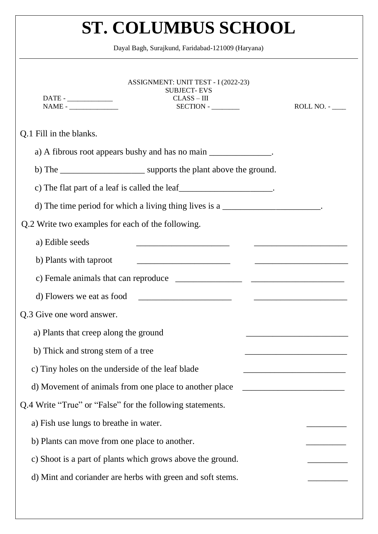|                           | ASSIGNMENT: UNIT TEST - I (2022-23)<br><b>SUBJECT-EVS</b><br>$CLASS-III$<br>$DATE -$<br>$SECTION -$ | $ROLL NO. -$                                                                                                         |
|---------------------------|-----------------------------------------------------------------------------------------------------|----------------------------------------------------------------------------------------------------------------------|
| Q.1 Fill in the blanks.   |                                                                                                     |                                                                                                                      |
|                           | a) A fibrous root appears bushy and has no main _______________.                                    |                                                                                                                      |
|                           |                                                                                                     |                                                                                                                      |
|                           | c) The flat part of a leaf is called the leaf $\Box$                                                |                                                                                                                      |
|                           | d) The time period for which a living thing lives is a $\frac{1}{2}$                                |                                                                                                                      |
|                           | Q.2 Write two examples for each of the following.                                                   |                                                                                                                      |
| a) Edible seeds           |                                                                                                     |                                                                                                                      |
| b) Plants with taproot    | <u> 1980 - Jan Barnett, mars ann an t-Amerikaansk ferskeider (</u>                                  | <u> 1980 - Johann Stein, mars ar breithinn ar chwart ar chwart ar chwart ar chwart ar chwart ar chwart ar chwart</u> |
|                           |                                                                                                     |                                                                                                                      |
|                           |                                                                                                     |                                                                                                                      |
| Q.3 Give one word answer. |                                                                                                     |                                                                                                                      |
|                           | a) Plants that creep along the ground                                                               |                                                                                                                      |
|                           | b) Thick and strong stem of a tree                                                                  |                                                                                                                      |
|                           | c) Tiny holes on the underside of the leaf blade                                                    |                                                                                                                      |
|                           | d) Movement of animals from one place to another place                                              |                                                                                                                      |
|                           | Q.4 Write "True" or "False" for the following statements.                                           |                                                                                                                      |
|                           | a) Fish use lungs to breathe in water.                                                              |                                                                                                                      |
|                           | b) Plants can move from one place to another.                                                       |                                                                                                                      |
|                           | c) Shoot is a part of plants which grows above the ground.                                          |                                                                                                                      |
|                           | d) Mint and coriander are herbs with green and soft stems.                                          |                                                                                                                      |
|                           |                                                                                                     |                                                                                                                      |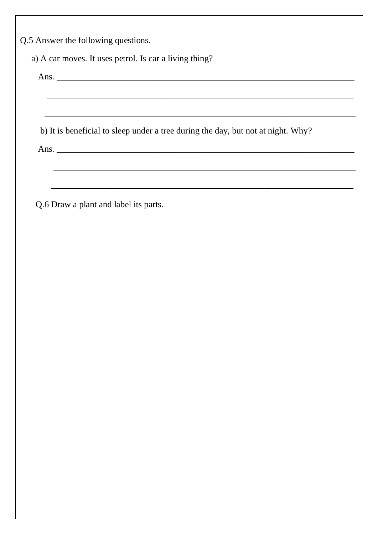Q.5 Answer the following questions.

a) A car moves. It uses petrol. Is car a living thing?

b) It is beneficial to sleep under a tree during the day, but not at night. Why? Ans.

Q.6 Draw a plant and label its parts.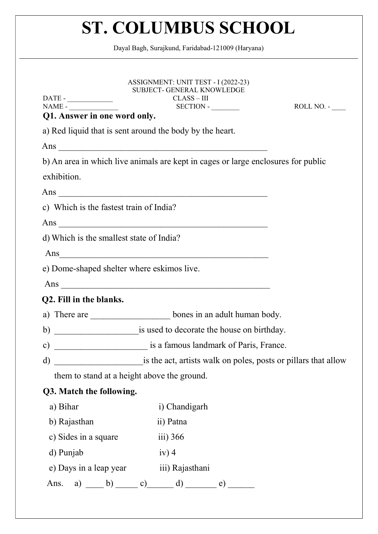| DATE - CONTRACTE - CONTRACTE - CONTRACTE - CONTRACTE - CONTRACTE - CONTRACTE - CONTRACTE - CONTRACTE - CONTRACTE - CONTRACTE - CONTRACTE - CONTRACTE - CONTRACTE - CONTRACTE - CONTRACTE - CONTRACTE - CONTRACTE - CONTRACTE -<br>$\begin{tabular}{ c c } \hline \multicolumn{3}{ c }{\text{NAME -}} \end{tabular}$<br>Q1. Answer in one word only. | ASSIGNMENT: UNIT TEST - I (2022-23)<br><b>SUBJECT- GENERAL KNOWLEDGE</b><br>$CLASS-III$<br>$SECTION -$ | ROLL NO. - |
|-----------------------------------------------------------------------------------------------------------------------------------------------------------------------------------------------------------------------------------------------------------------------------------------------------------------------------------------------------|--------------------------------------------------------------------------------------------------------|------------|
|                                                                                                                                                                                                                                                                                                                                                     | a) Red liquid that is sent around the body by the heart.                                               |            |
|                                                                                                                                                                                                                                                                                                                                                     | Ans                                                                                                    |            |
|                                                                                                                                                                                                                                                                                                                                                     | b) An area in which live animals are kept in cages or large enclosures for public                      |            |
| exhibition.                                                                                                                                                                                                                                                                                                                                         |                                                                                                        |            |
|                                                                                                                                                                                                                                                                                                                                                     |                                                                                                        |            |
| c) Which is the fastest train of India?                                                                                                                                                                                                                                                                                                             |                                                                                                        |            |
|                                                                                                                                                                                                                                                                                                                                                     |                                                                                                        |            |
| d) Which is the smallest state of India?                                                                                                                                                                                                                                                                                                            |                                                                                                        |            |
|                                                                                                                                                                                                                                                                                                                                                     | Ans                                                                                                    |            |
| e) Dome-shaped shelter where eskimos live.                                                                                                                                                                                                                                                                                                          |                                                                                                        |            |
|                                                                                                                                                                                                                                                                                                                                                     | Ans $\overline{\phantom{a}}$                                                                           |            |
| Q2. Fill in the blanks.                                                                                                                                                                                                                                                                                                                             |                                                                                                        |            |
|                                                                                                                                                                                                                                                                                                                                                     | a) There are ________________________bones in an adult human body.                                     |            |
|                                                                                                                                                                                                                                                                                                                                                     |                                                                                                        |            |
| $\mathbf{c})$                                                                                                                                                                                                                                                                                                                                       | is a famous landmark of Paris, France.                                                                 |            |
| $\rm d)$                                                                                                                                                                                                                                                                                                                                            | is the act, artists walk on poles, posts or pillars that allow                                         |            |
| them to stand at a height above the ground.                                                                                                                                                                                                                                                                                                         |                                                                                                        |            |
| Q3. Match the following.                                                                                                                                                                                                                                                                                                                            |                                                                                                        |            |
| a) Bihar                                                                                                                                                                                                                                                                                                                                            | i) Chandigarh                                                                                          |            |
| b) Rajasthan                                                                                                                                                                                                                                                                                                                                        | ii) Patna                                                                                              |            |
| c) Sides in a square                                                                                                                                                                                                                                                                                                                                | $\overline{111}$ ) 366                                                                                 |            |
| d) Punjab                                                                                                                                                                                                                                                                                                                                           | $iv)$ 4                                                                                                |            |
| e) Days in a leap year                                                                                                                                                                                                                                                                                                                              | iii) Rajasthani                                                                                        |            |
| Ans.                                                                                                                                                                                                                                                                                                                                                | a) $\qquad b)$ c) d)<br>e)                                                                             |            |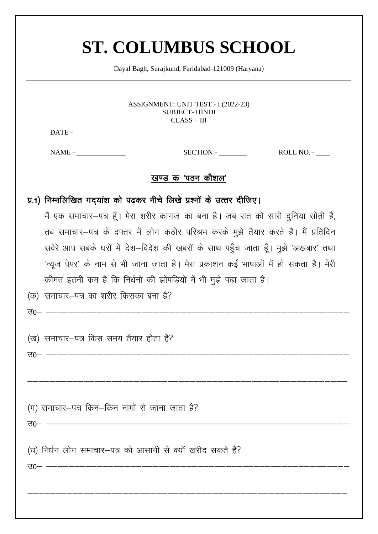Dayal Bagh, Surajkund, Faridabad-121009 (Haryana)

ASSIGNMENT: UNIT TEST - I (2022-23) **SUBJECT-HINDI**  $CLASS - III$ 

DATE-

 $NAME -$ 

 $SECTION -$  ROLL NO. -

#### खण्ड क 'पठन कौशल'

प्र.1) निम्नलिखित गद्यांश को पढ़कर नीचे लिखे प्रश्नों के उत्तर दीजिए।

मैं एक समाचार-पत्र हूँ। मेरा शरीर कागज़ का बना है। जब रात को सारी दुनिया सोती है, तब समाचार-पत्र के दफ्तर में लोग कठोर परिश्रम करके मुझे तैयार करते हैं। मैं प्रतिदिन सवेरे आप सबके घरों में देश-विदेश की खबरों के साथ पहुँच जाता हूँ। मुझे 'अखबार' तथा 'न्यूज पेपर' के नाम से भी जाना जाता है। मेरा प्रकाशन कई भाषाओं में हो सकता है। मेरी कीमत इतनी कम है कि निर्धनों की झोंपड़ियों में भी मुझे पढ़ा जाता है। (क) समाचार-पत्र का शरीर किसका बना है?

 $\overline{30}$  --------

(ख) समाचार-पत्र किस समय तैयार होता है?

 $\overline{30}$ - --------

(ग) समाचार-पत्र किन-किन नामों से जाना जाता है?

(घ) निर्धन लोग समाचार–पत्र को आसानी से क्यों खरीद सकते हैं?

<u>उ० – –––––––––––––</u>

 $30-$  -------------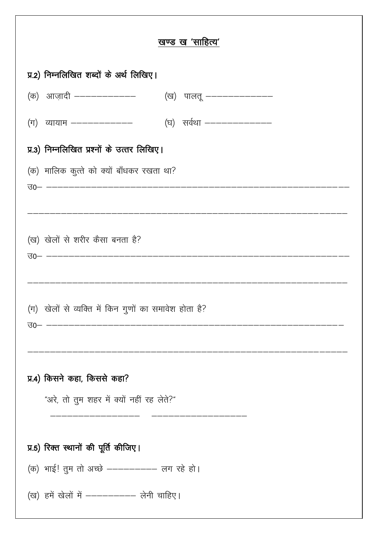| खण्ड ख 'साहित्य'                                                                    |
|-------------------------------------------------------------------------------------|
| प्र.2) निम्नलिखित शब्दों के अर्थ लिखिए।                                             |
|                                                                                     |
| (ग) व्यायाम –––––––––––––         (घ) सर्वथा ––––––––––––––                         |
| प्र.3) निम्नलिखित प्रश्नों के उत्तर लिखिए।                                          |
| (क) मालिक कुत्ते को क्यों बाँधकर रखता था?<br>30- ---------------------------------- |
|                                                                                     |
| (ख) खेलों से शरीर कैसा बनता है?                                                     |
|                                                                                     |
| (ग) खेलों से व्यक्ति में किन गुणों का समावेश होता है?                               |
| प्र.4) किसने कहा, किससे कहा?<br>"अरे, तो तुम शहर में क्यों नहीं रह लेते?"           |
| प्र.5) रिक्त स्थानों की पूर्ति कीजिए।                                               |
| (क) भाई! तुम तो अच्छे ---------- लग रहे हो।                                         |
| (ख) हमें खेलों में ---------- लेनी चाहिए।                                           |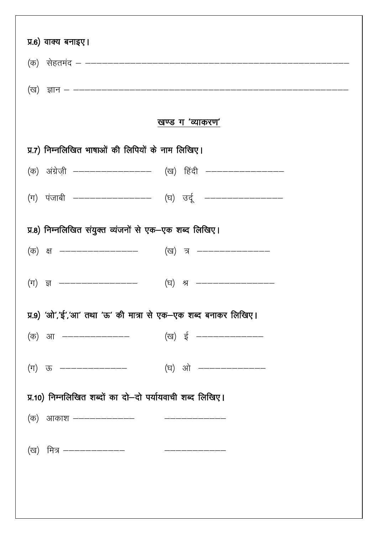| प्र.6) वाक्य बनाइए।                                             |                            |
|-----------------------------------------------------------------|----------------------------|
|                                                                 |                            |
|                                                                 |                            |
|                                                                 | खण्ड ग 'व्याकरण'           |
| प्र.7) निम्नलिखित भाषाओं की लिपियों के नाम लिखिए।               |                            |
| (क) अंग्रेज़ी ————————————— (ख) हिंदी ————————————              |                            |
| (ग) पंजाबी –––––––––––––––– (घ) उर्दू –––––––––––––––––         |                            |
| प्र.8) निम्नलिखित संयुक्त व्यंजनों से एक–एक शब्द लिखिए।         |                            |
| (क) क्ष ————————————                                            | (ख) त्र ———————————        |
| $(\text{Tr})$ ज्ञ ----------------                              | (घ) श्र ------------------ |
| प्र.9) 'ओ','ई','आ' तथा 'ऊ' की मात्रा से एक—एक शब्द बनाकर लिखिए। |                            |
|                                                                 |                            |
|                                                                 |                            |
| प्र.10) निम्नलिखित शब्दों का दो–दो पर्यायवाची शब्द लिखिए।       |                            |
| (क) आकाश ––––––––––––         –––––––––––                       |                            |
| (ख) मित्र —————————                                             |                            |
|                                                                 |                            |
|                                                                 |                            |